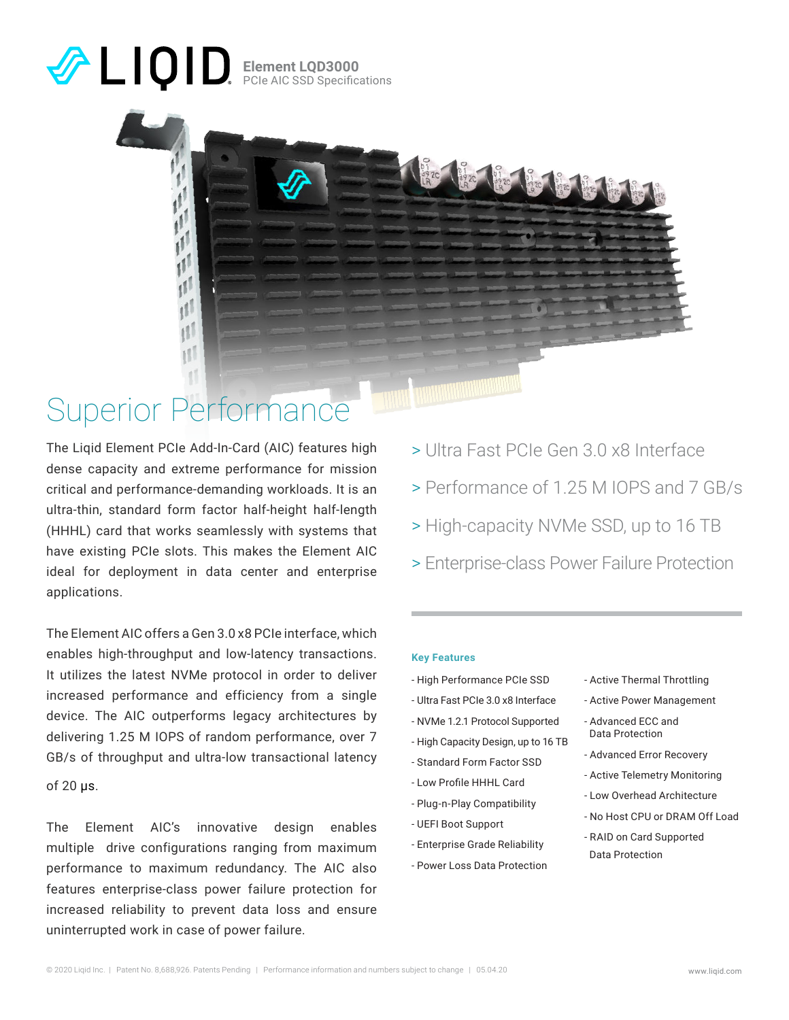## **Element LQD3000** PCIe AIC SSD Specifications

## Superior Performance

11  $11$ ıll

The Liqid Element PCIe Add-In-Card (AIC) features high dense capacity and extreme performance for mission critical and performance-demanding workloads. It is an ultra-thin, standard form factor half-height half-length (HHHL) card that works seamlessly with systems that have existing PCIe slots. This makes the Element AIC ideal for deployment in data center and enterprise applications.

The Element AIC offers a Gen 3.0 x8 PCIe interface, which enables high-throughput and low-latency transactions. It utilizes the latest NVMe protocol in order to deliver increased performance and efficiency from a single device. The AIC outperforms legacy architectures by delivering 1.25 M IOPS of random performance, over 7 GB/s of throughput and ultra-low transactional latency

of 20 μs.

The Element AIC's innovative design enables multiple drive configurations ranging from maximum performance to maximum redundancy. The AIC also features enterprise-class power failure protection for increased reliability to prevent data loss and ensure uninterrupted work in case of power failure.

- > Ultra Fast PCIe Gen 3.0 x8 Interface
- > Performance of 1.25 M IOPS and 7 GB/s
- > High-capacity NVMe SSD, up to 16 TB
- > Enterprise-class Power Failure Protection

### **Key Features**

- High Performance PCIe SSD

2C 8172C 812C 812C

- Ultra Fast PCIe 3.0 x8 Interface
- NVMe 1.2.1 Protocol Supported
- High Capacity Design, up to 16 TB
- Standard Form Factor SSD
- Low Profile HHHL Card
- Plug-n-Play Compatibility
- UEFI Boot Support
- Enterprise Grade Reliability
- Power Loss Data Protection
- Active Thermal Throttling
- Active Power Management
- Advanced ECC and Data Protection
- Advanced Error Recovery
- Active Telemetry Monitoring
- Low Overhead Architecture
- No Host CPU or DRAM Off Load
- RAID on Card Supported Data Protection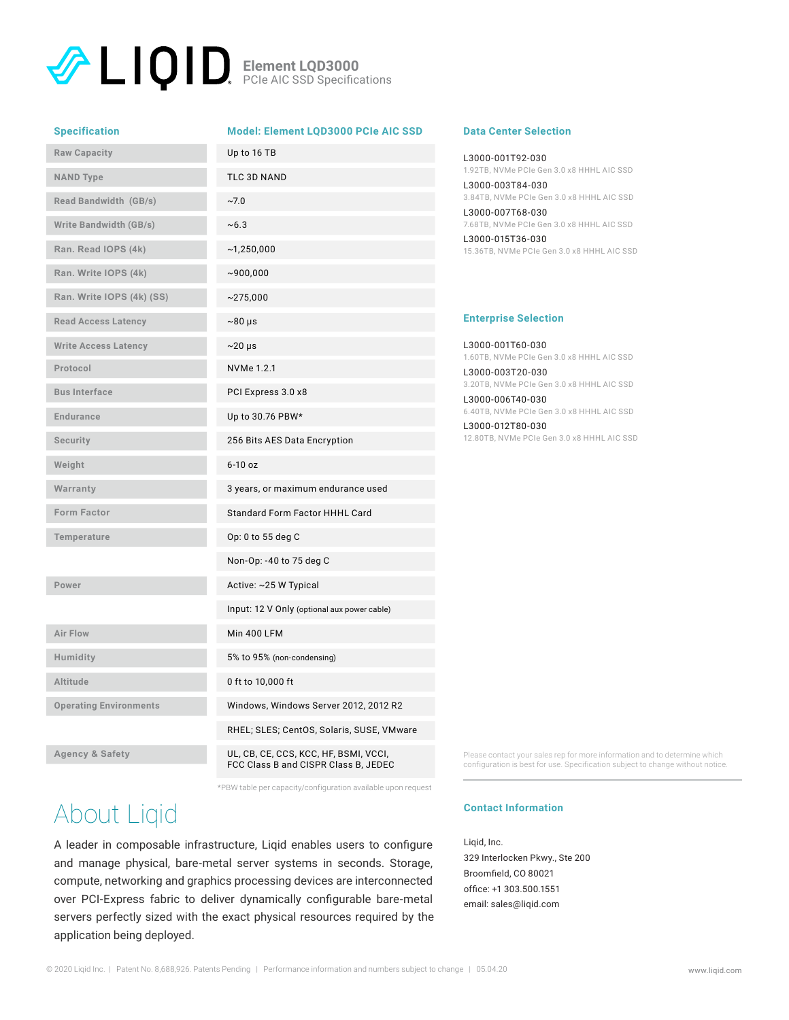### **Element LQD3000** PCIe AIC SSD Specifications

#### **Specification Model: Element LQD3000 PCIe AIC SSD**

| <b>Raw Capacity</b>           | Up to 16 TB                                 |
|-------------------------------|---------------------------------------------|
| <b>NAND Type</b>              | TLC 3D NAND                                 |
| Read Bandwidth (GB/s)         | ~27.0                                       |
| <b>Write Bandwidth (GB/s)</b> | ~10.3                                       |
| Ran. Read IOPS (4k)           | ~1,250,000                                  |
| Ran. Write IOPS (4k)          | ~100,000                                    |
| Ran. Write IOPS (4k) (SS)     | ~275,000                                    |
| <b>Read Access Latency</b>    | $~80~\mu s$                                 |
| <b>Write Access Latency</b>   | $\sim$ 20 µs                                |
| Protocol                      | NVMe 1.2.1                                  |
| <b>Bus Interface</b>          | PCI Express 3.0 x8                          |
| <b>Endurance</b>              | Up to 30.76 PBW*                            |
| <b>Security</b>               | 256 Bits AES Data Encryption                |
| Weight                        | $6-10$ oz                                   |
| Warranty                      | 3 years, or maximum endurance used          |
| Form Factor                   | Standard Form Factor HHHL Card              |
| Temperature                   | Op: 0 to 55 deg C                           |
|                               | Non-Op: -40 to 75 deg C                     |
| Power                         | Active: ~25 W Typical                       |
|                               | Input: 12 V Only (optional aux power cable) |
| Air Flow                      | <b>Min 400 LFM</b>                          |
| Humidity                      | 5% to 95% (non-condensing)                  |
| Altitude                      | 0 ft to 10,000 ft                           |
| <b>Operating Environments</b> | Windows, Windows Server 2012, 2012 R2       |
|                               | RHEL; SLES; CentOS, Solaris, SUSE, VMware   |
| <b>Agency &amp; Safety</b>    | UL, CB, CE, CCS, KCC, HF, BSMI, VCCI,       |

### **Data Center Selection**

L3000-001T92-030 1.92TB, NVMe PCIe Gen 3.0 x8 HHHL AIC SSD L3000-003T84-030 3.84TB, NVMe PCIe Gen 3.0 x8 HHHL AIC SSD L3000-007T68-030 7.68TB, NVMe PCIe Gen 3.0 x8 HHHL AIC SSD L3000-015T36-030 15.36TB, NVMe PCIe Gen 3.0 x8 HHHL AIC SSD

### **Enterprise Selection**

L3000-001T60-030 1.60TB, NVMe PCIe Gen 3.0 x8 HHHL AIC SSD

L3000-003T20-030 3.20TB, NVMe PCIe Gen 3.0 x8 HHHL AIC SSD L3000-006T40-030

6.40TB, NVMe PCIe Gen 3.0 x8 HHHL AIC SSD

L3000-012T80-030 12.80TB, NVMe PCIe Gen 3.0 x8 HHHL AIC SSD

FCC Class B and CISPR Class B, JEDEC \*PBW table per capacity/configuration available upon request

# About Liqid

A leader in composable infrastructure, Liqid enables users to configure and manage physical, bare-metal server systems in seconds. Storage, compute, networking and graphics processing devices are interconnected over PCI-Express fabric to deliver dynamically configurable bare-metal servers perfectly sized with the exact physical resources required by the application being deployed.

Please contact your sales rep for more information and to determine which configuration is best for use. Specification subject to change without notice.

### **Contact Information**

Liqid, Inc. 329 Interlocken Pkwy., Ste 200 Broomfield, CO 80021 office: +1 303.500.1551 email: sales@liqid.com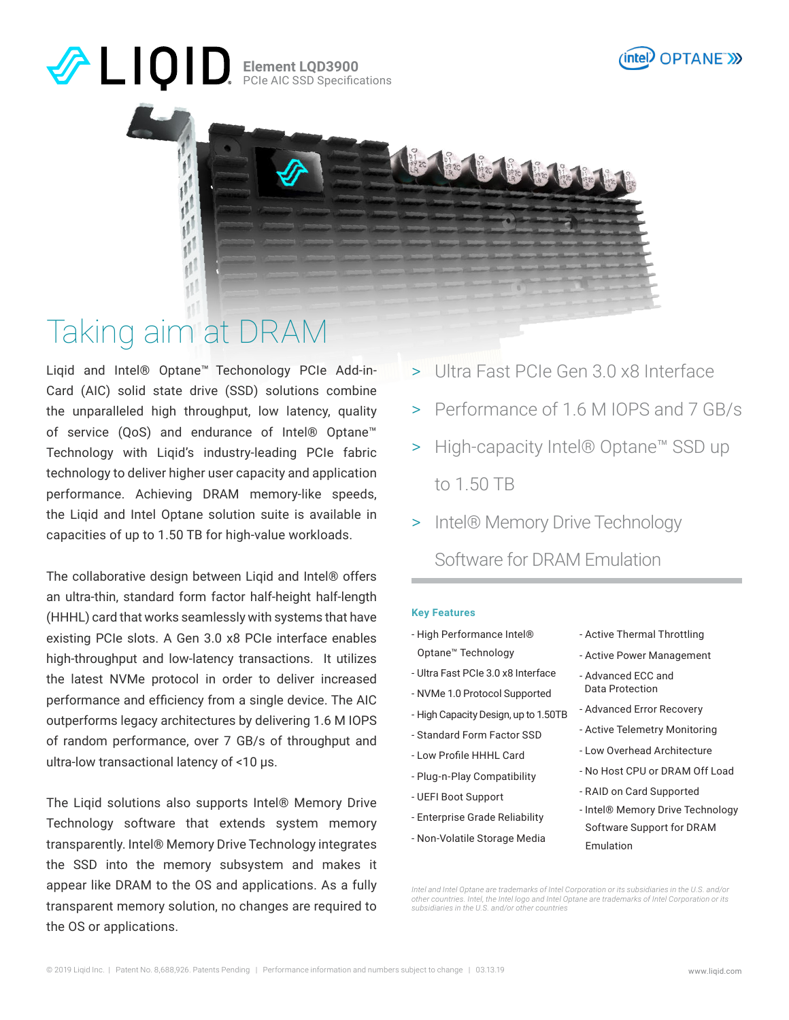## **Element LQD3900** PCIe AIC SSD Specifications





## Taking aim at DRAM

Liqid and Intel® Optane™ Techonology PCIe Add-in-Card (AIC) solid state drive (SSD) solutions combine the unparalleled high throughput, low latency, quality of service (QoS) and endurance of Intel® Optane™ Technology with Liqid's industry-leading PCIe fabric technology to deliver higher user capacity and application performance. Achieving DRAM memory-like speeds, the Liqid and Intel Optane solution suite is available in capacities of up to 1.50 TB for high-value workloads.

The collaborative design between Liqid and Intel® offers an ultra-thin, standard form factor half-height half-length (HHHL) card that works seamlessly with systems that have existing PCIe slots. A Gen 3.0 x8 PCIe interface enables high-throughput and low-latency transactions. It utilizes the latest NVMe protocol in order to deliver increased performance and efficiency from a single device. The AIC outperforms legacy architectures by delivering 1.6 M IOPS of random performance, over 7 GB/s of throughput and ultra-low transactional latency of <10 µs.

The Liqid solutions also supports Intel® Memory Drive Technology software that extends system memory transparently. Intel® Memory Drive Technology integrates the SSD into the memory subsystem and makes it appear like DRAM to the OS and applications. As a fully transparent memory solution, no changes are required to the OS or applications.

- > Ultra Fast PCIe Gen 3.0 x8 Interface
- > Performance of 1.6 M IOPS and 7 GB/s
- > High-capacity Intel® Optane™ SSD up to 1.50 TB
- > Intel® Memory Drive Technology

Software for DRAM Emulation

### **Key Features**

- High Performance Intel® Optane™ Technology
- Ultra Fast PCIe 3.0 x8 Interface
- NVMe 1.0 Protocol Supported
- High Capacity Design, up to 1.50TB
- Standard Form Factor SSD
- Low Profile HHHL Card
- Plug-n-Play Compatibility
- UEFI Boot Support
- Enterprise Grade Reliability
- Non-Volatile Storage Media
- Active Thermal Throttling
- Active Power Management
- Advanced ECC and Data Protection
- Advanced Error Recovery
- Active Telemetry Monitoring
- Low Overhead Architecture
- No Host CPU or DRAM Off Load
- RAID on Card Supported
- Intel® Memory Drive Technology Software Support for DRAM Emulation

*Intel and Intel Optane are trademarks of Intel Corporation or its subsidiaries in the U.S. and/or other countries. Intel, the Intel logo and Intel Optane are trademarks of Intel Corporation or its subsidiaries in the U.S. and/or other countries*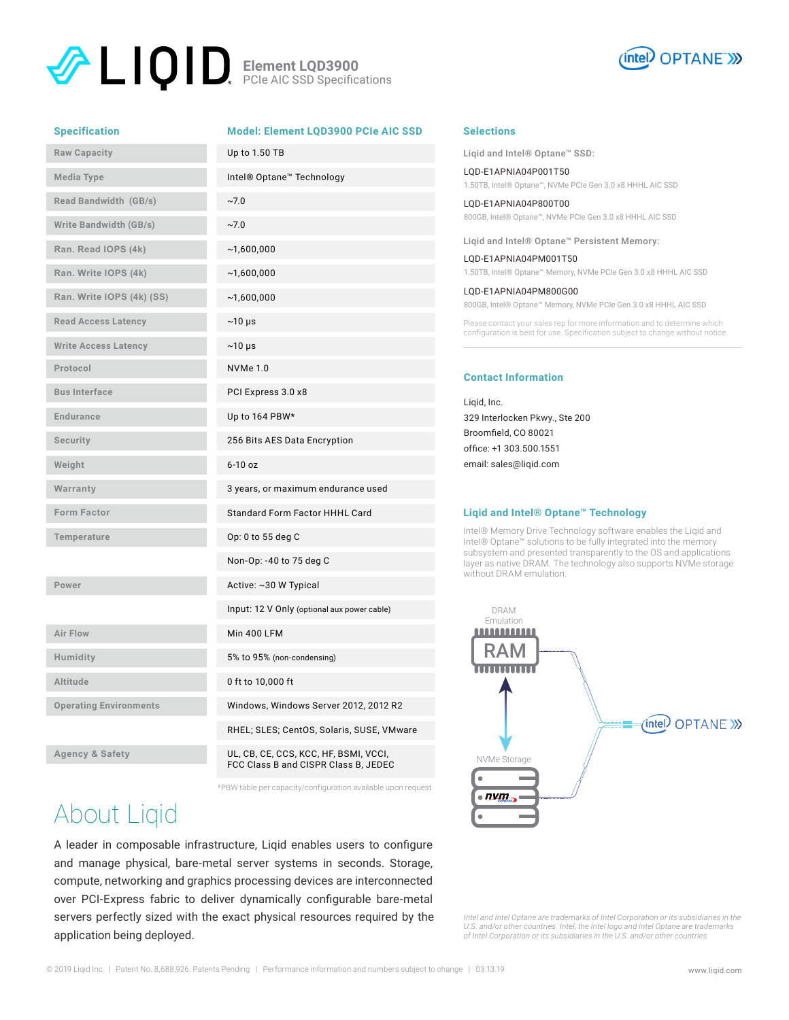### **Element LQD3900** PCIe AIC SSD Specifications



#### **Specification**

|  | <b>Model: Element LQD3900 PCIe AIC SSD</b> |  |
|--|--------------------------------------------|--|
|  |                                            |  |

| <b>Raw Capacity</b>           | Up to 1.50 TB                               |
|-------------------------------|---------------------------------------------|
| Media Type                    | Intel® Optane™ Technology                   |
| Read Bandwidth (GB/s)         | $~10^{-7}$                                  |
| <b>Write Bandwidth (GB/s)</b> | $~10^{-7}$                                  |
| Ran. Read IOPS (4k)           | ~1,600,000                                  |
| Ran. Write IOPS (4k)          | ~1,600,000                                  |
| Ran. Write IOPS (4k) (SS)     | ~1,600,000                                  |
| <b>Read Access Latency</b>    | $~10 \mu s$                                 |
| <b>Write Access Latency</b>   | $~10 \mu s$                                 |
| Protocol                      | <b>NVMe 1.0</b>                             |
| <b>Bus Interface</b>          | PCI Express 3.0 x8                          |
| <b>Endurance</b>              | Up to 164 PBW*                              |
| Security                      | 256 Bits AES Data Encryption                |
| Weight                        | $6-10$ oz                                   |
| Warranty                      | 3 years, or maximum endurance used          |
| Form Factor                   | Standard Form Factor HHHL Card              |
| Temperature                   | Op: 0 to 55 deg C                           |
|                               | Non-Op: -40 to 75 deg C                     |
| Power                         | Active: ~30 W Typical                       |
|                               | Input: 12 V Only (optional aux power cable) |
| <b>Air Flow</b>               | Min 400 LFM                                 |
| Humidity                      | 5% to 95% (non-condensing)                  |
| <b>Altitude</b>               | 0 ft to 10,000 ft                           |
| <b>Operating Environments</b> | Windows, Windows Server 2012, 2012 R2       |
|                               | RHEL; SLES; CentOS, Solaris, SUSE, VMware   |
| <b>Agency &amp; Safety</b>    | UL, CB, CE, CCS, KCC, HF, BSMI, VCCI,       |

FCC Class B and CISPR Class B, JEDEC

\*PBW table per capacity/configuration available upon request

## About Liqid

A leader in composable infrastructure, Liqid enables users to configure and manage physical, bare-metal server systems in seconds. Storage, compute, networking and graphics processing devices are interconnected over PCI-Express fabric to deliver dynamically configurable bare-metal servers perfectly sized with the exact physical resources required by the application being deployed.

#### **Selections**

Liqid and Intel® Optane™ SSD:

LQD-E1APNIA04P001T50 1.50TB, Intel® Optane™, NVMe PCIe Gen 3.0 x8 HHHL AIC SSD

LQD-E1APNIA04P800T00 800GB, Intel® Optane™, NVMe PCIe Gen 3.0 x8 HHHL AIC SSD

Liqid and Intel® Optane™ Persistent Memory:

LQD-E1APNIA04PM001T50 1.50TB, Intel® Optane™ Memory, NVMe PCIe Gen 3.0 x8 HHHL AIC SSD

LQD-E1APNIA04PM800G00 800GB, Intel® Optane™ Memory, NVMe PCIe Gen 3.0 x8 HHHL AIC SSD

Please contact your sales rep for more information and to determine which configuration is best for use. Specification subject to change without notice.

### **Contact Information**

Liqid, Inc. 329 Interlocken Pkwy., Ste 200 Broomfield, CO 80021 office: +1 303.500.1551 email: sales@liqid.com

#### **Liqid and Intel® Optane™ Technology**

Intel® Memory Drive Technology software enables the Liqid and Intel® Optane™ solutions to be fully integrated into the memory subsystem and presented transparently to the OS and applications layer as native DRAM. The technology also supports NVMe storage without DRAM emulation.



*Intel and Intel Optane are trademarks of Intel Corporation or its subsidiaries in the U.S. and/or other countries. Intel, the Intel logo and Intel Optane are trademarks of Intel Corporation or its subsidiaries in the U.S. and/or other countries*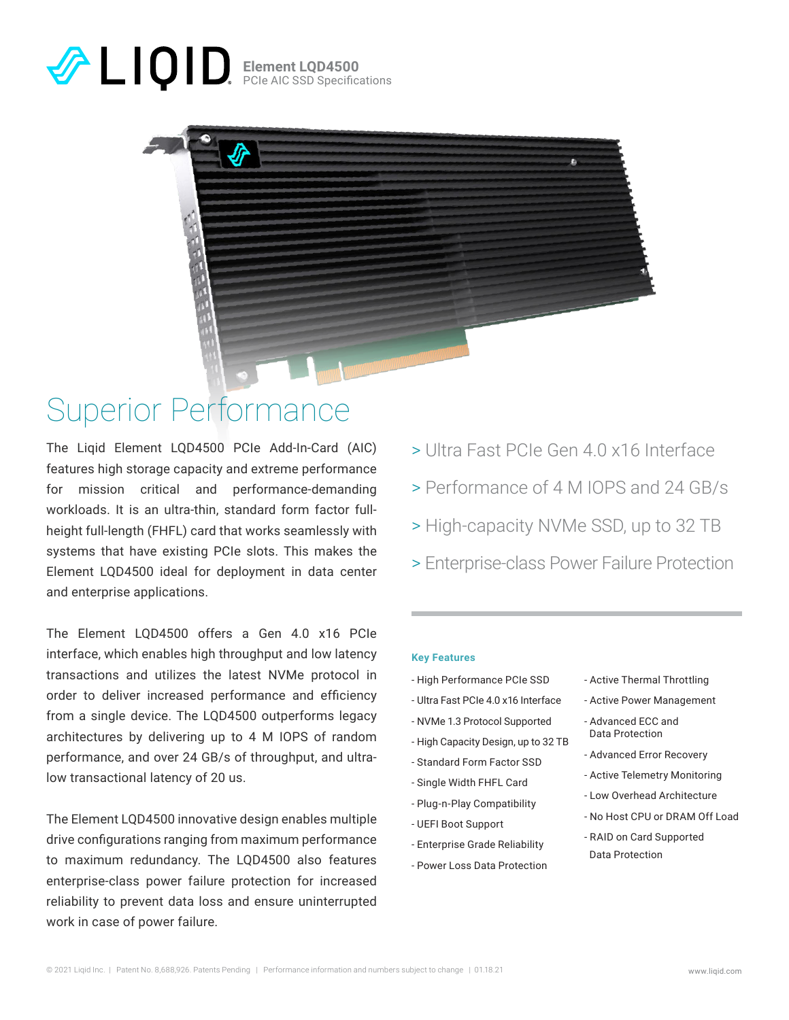## **Element LQD4500** PCIe AIC SSD Specifications



## Superior Performance

The Liqid Element LQD4500 PCIe Add-In-Card (AIC) features high storage capacity and extreme performance for mission critical and performance-demanding workloads. It is an ultra-thin, standard form factor fullheight full-length (FHFL) card that works seamlessly with systems that have existing PCIe slots. This makes the Element LQD4500 ideal for deployment in data center and enterprise applications.

The Element LQD4500 offers a Gen 4.0 x16 PCIe interface, which enables high throughput and low latency transactions and utilizes the latest NVMe protocol in order to deliver increased performance and efficiency from a single device. The LQD4500 outperforms legacy architectures by delivering up to 4 M IOPS of random performance, and over 24 GB/s of throughput, and ultralow transactional latency of 20 us.

The Element LQD4500 innovative design enables multiple drive configurations ranging from maximum performance to maximum redundancy. The LQD4500 also features enterprise-class power failure protection for increased reliability to prevent data loss and ensure uninterrupted work in case of power failure.

- > Ultra Fast PCIe Gen 4.0 x16 Interface
- > Performance of 4 M IOPS and 24 GB/s
- > High-capacity NVMe SSD, up to 32 TB
- > Enterprise-class Power Failure Protection

### **Key Features**

- High Performance PCIe SSD
- Ultra Fast PCIe 4.0 x16 Interface
- NVMe 1.3 Protocol Supported
- High Capacity Design, up to 32 TB
- Standard Form Factor SSD
- Single Width FHFL Card
- Plug-n-Play Compatibility
- UEFI Boot Support
- Enterprise Grade Reliability
- Power Loss Data Protection
- Active Thermal Throttling
- Active Power Management
- Advanced ECC and Data Protection
- Advanced Error Recovery
- Active Telemetry Monitoring
- Low Overhead Architecture
- No Host CPU or DRAM Off Load
- RAID on Card Supported Data Protection